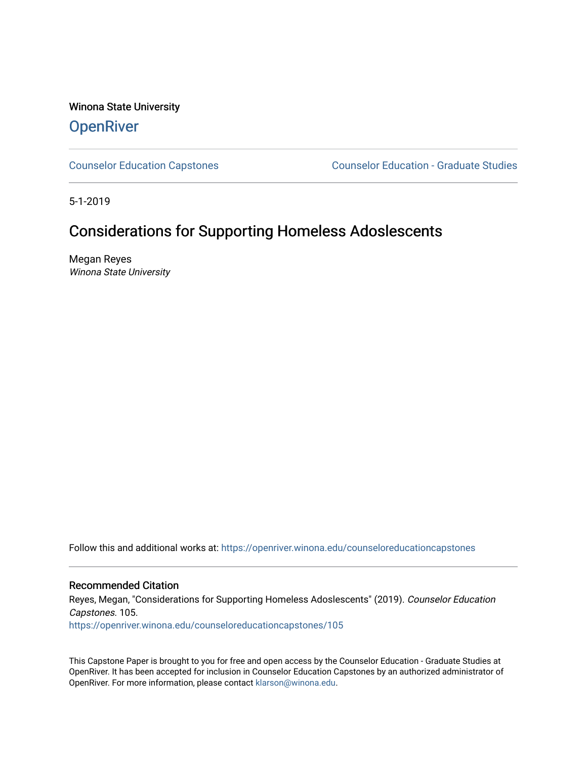Winona State University **OpenRiver** 

[Counselor Education Capstones](https://openriver.winona.edu/counseloreducationcapstones) [Counselor Education - Graduate Studies](https://openriver.winona.edu/counseloreducation) 

5-1-2019

# Considerations for Supporting Homeless Adoslescents

Megan Reyes Winona State University

Follow this and additional works at: [https://openriver.winona.edu/counseloreducationcapstones](https://openriver.winona.edu/counseloreducationcapstones?utm_source=openriver.winona.edu%2Fcounseloreducationcapstones%2F105&utm_medium=PDF&utm_campaign=PDFCoverPages)

Recommended Citation

Reyes, Megan, "Considerations for Supporting Homeless Adoslescents" (2019). Counselor Education Capstones. 105.

[https://openriver.winona.edu/counseloreducationcapstones/105](https://openriver.winona.edu/counseloreducationcapstones/105?utm_source=openriver.winona.edu%2Fcounseloreducationcapstones%2F105&utm_medium=PDF&utm_campaign=PDFCoverPages)

This Capstone Paper is brought to you for free and open access by the Counselor Education - Graduate Studies at OpenRiver. It has been accepted for inclusion in Counselor Education Capstones by an authorized administrator of OpenRiver. For more information, please contact [klarson@winona.edu](mailto:klarson@winona.edu).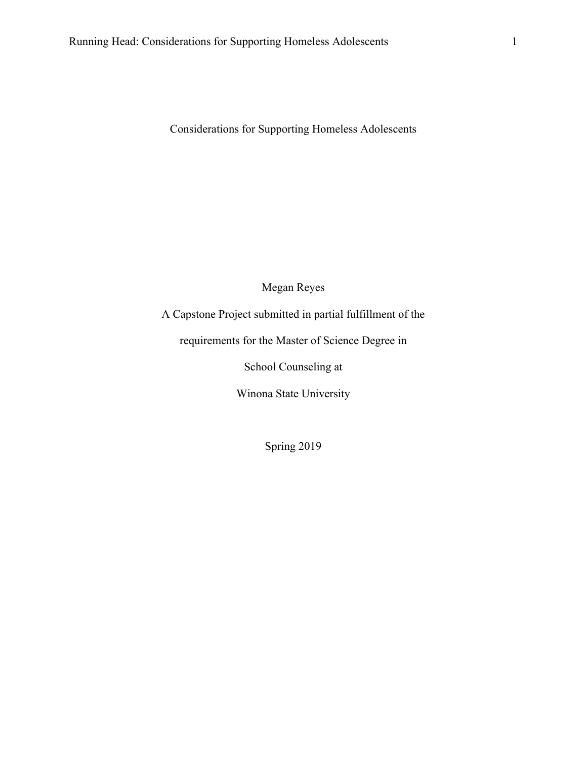Considerations for Supporting Homeless Adolescents

Megan Reyes

A Capstone Project submitted in partial fulfillment of the

requirements for the Master of Science Degree in

School Counseling at

Winona State University

Spring 2019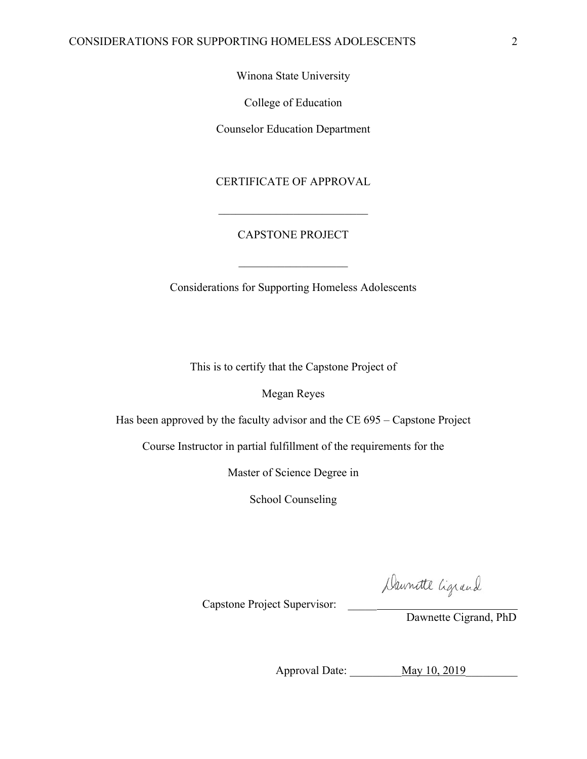Winona State University

College of Education

Counselor Education Department

## CERTIFICATE OF APPROVAL

### CAPSTONE PROJECT

Considerations for Supporting Homeless Adolescents

This is to certify that the Capstone Project of

Megan Reyes

Has been approved by the faculty advisor and the CE 695 – Capstone Project

Course Instructor in partial fulfillment of the requirements for the

Master of Science Degree in

School Counseling

Daunitte Cigrand

Capstone Project Supervisor: \_\_\_\_\_

Dawnette Cigrand, PhD

Approval Date: May 10, 2019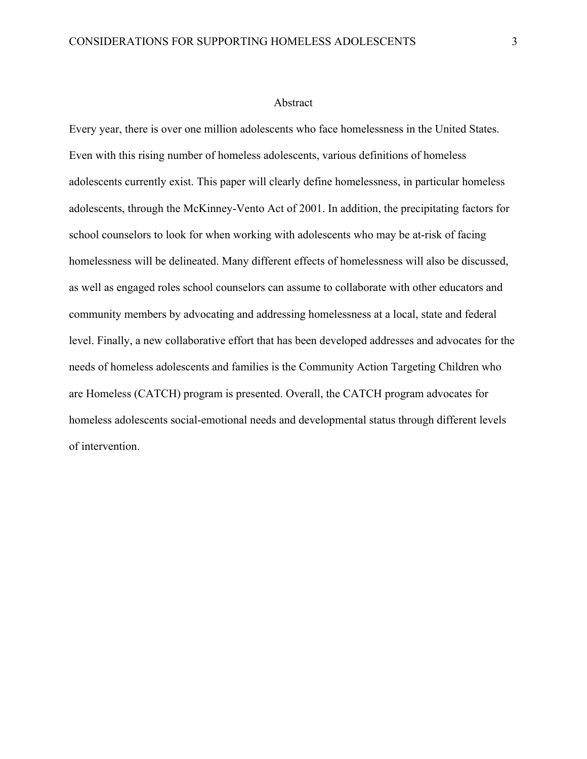#### Abstract

Every year, there is over one million adolescents who face homelessness in the United States. Even with this rising number of homeless adolescents, various definitions of homeless adolescents currently exist. This paper will clearly define homelessness, in particular homeless adolescents, through the McKinney-Vento Act of 2001. In addition, the precipitating factors for school counselors to look for when working with adolescents who may be at-risk of facing homelessness will be delineated. Many different effects of homelessness will also be discussed, as well as engaged roles school counselors can assume to collaborate with other educators and community members by advocating and addressing homelessness at a local, state and federal level. Finally, a new collaborative effort that has been developed addresses and advocates for the needs of homeless adolescents and families is the Community Action Targeting Children who are Homeless (CATCH) program is presented. Overall, the CATCH program advocates for homeless adolescents social-emotional needs and developmental status through different levels of intervention.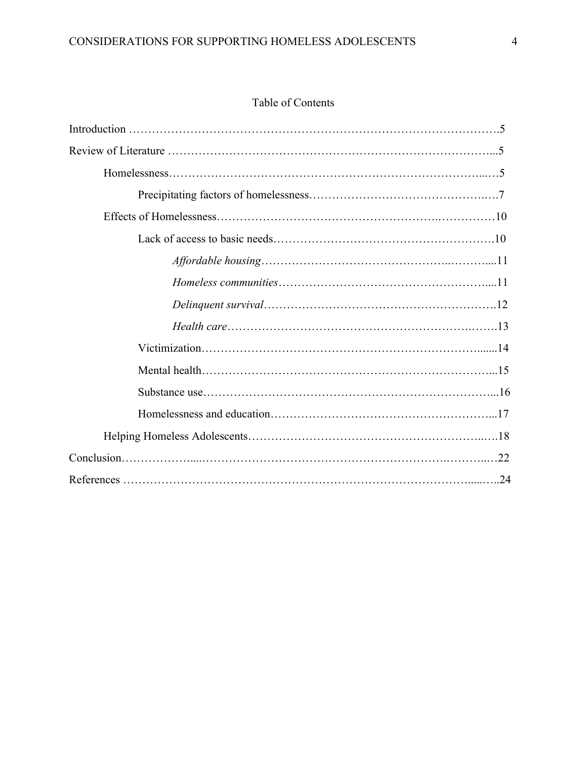# Table of Contents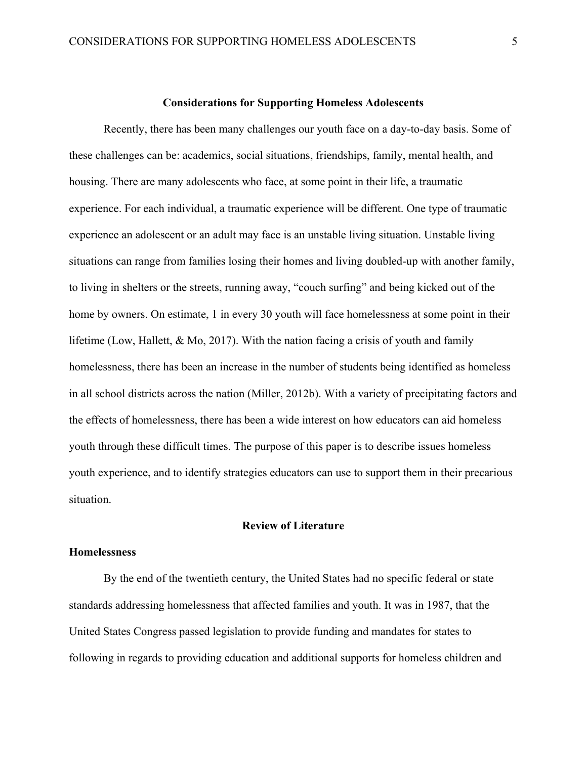#### **Considerations for Supporting Homeless Adolescents**

Recently, there has been many challenges our youth face on a day-to-day basis. Some of these challenges can be: academics, social situations, friendships, family, mental health, and housing. There are many adolescents who face, at some point in their life, a traumatic experience. For each individual, a traumatic experience will be different. One type of traumatic experience an adolescent or an adult may face is an unstable living situation. Unstable living situations can range from families losing their homes and living doubled-up with another family, to living in shelters or the streets, running away, "couch surfing" and being kicked out of the home by owners. On estimate, 1 in every 30 youth will face homelessness at some point in their lifetime (Low, Hallett, & Mo, 2017). With the nation facing a crisis of youth and family homelessness, there has been an increase in the number of students being identified as homeless in all school districts across the nation (Miller, 2012b). With a variety of precipitating factors and the effects of homelessness, there has been a wide interest on how educators can aid homeless youth through these difficult times. The purpose of this paper is to describe issues homeless youth experience, and to identify strategies educators can use to support them in their precarious situation.

#### **Review of Literature**

#### **Homelessness**

By the end of the twentieth century, the United States had no specific federal or state standards addressing homelessness that affected families and youth. It was in 1987, that the United States Congress passed legislation to provide funding and mandates for states to following in regards to providing education and additional supports for homeless children and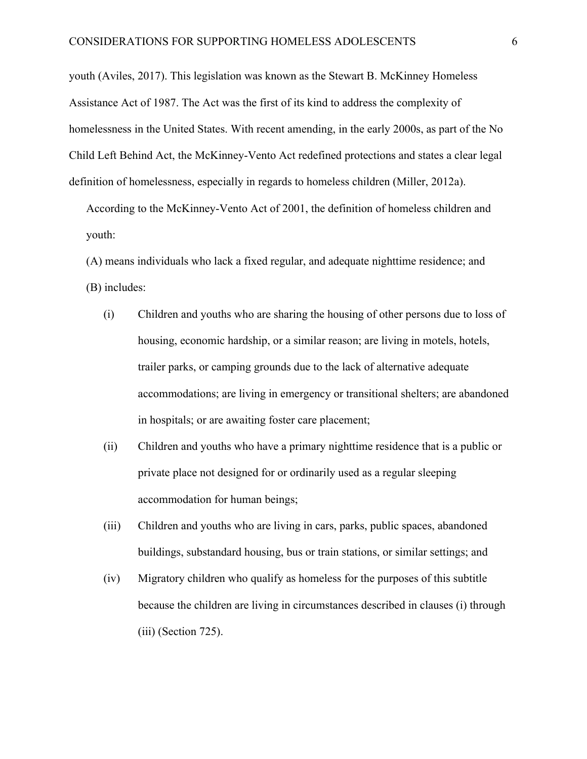youth (Aviles, 2017). This legislation was known as the Stewart B. McKinney Homeless Assistance Act of 1987. The Act was the first of its kind to address the complexity of homelessness in the United States. With recent amending, in the early 2000s, as part of the No Child Left Behind Act, the McKinney-Vento Act redefined protections and states a clear legal definition of homelessness, especially in regards to homeless children (Miller, 2012a).

According to the McKinney-Vento Act of 2001, the definition of homeless children and youth:

(A) means individuals who lack a fixed regular, and adequate nighttime residence; and (B) includes:

- (i) Children and youths who are sharing the housing of other persons due to loss of housing, economic hardship, or a similar reason; are living in motels, hotels, trailer parks, or camping grounds due to the lack of alternative adequate accommodations; are living in emergency or transitional shelters; are abandoned in hospitals; or are awaiting foster care placement;
- (ii) Children and youths who have a primary nighttime residence that is a public or private place not designed for or ordinarily used as a regular sleeping accommodation for human beings;
- (iii) Children and youths who are living in cars, parks, public spaces, abandoned buildings, substandard housing, bus or train stations, or similar settings; and
- (iv) Migratory children who qualify as homeless for the purposes of this subtitle because the children are living in circumstances described in clauses (i) through (iii) (Section 725).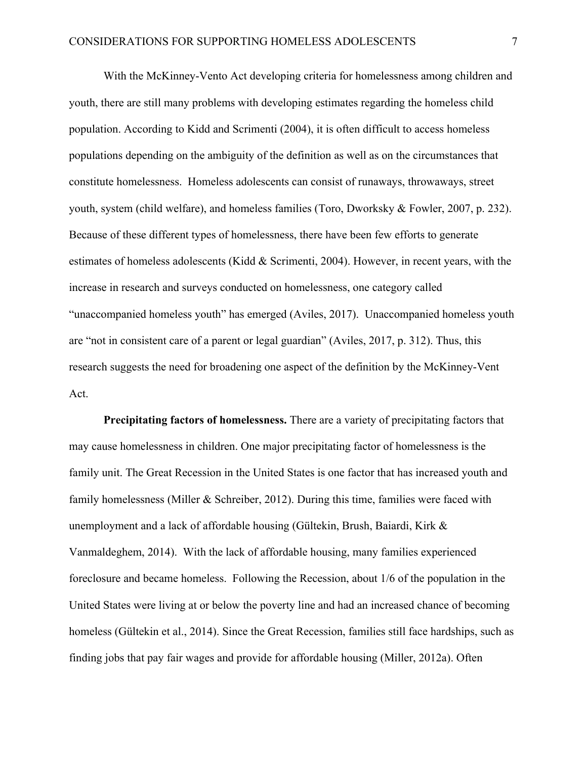With the McKinney-Vento Act developing criteria for homelessness among children and youth, there are still many problems with developing estimates regarding the homeless child population. According to Kidd and Scrimenti (2004), it is often difficult to access homeless populations depending on the ambiguity of the definition as well as on the circumstances that constitute homelessness. Homeless adolescents can consist of runaways, throwaways, street youth, system (child welfare), and homeless families (Toro, Dworksky & Fowler, 2007, p. 232). Because of these different types of homelessness, there have been few efforts to generate estimates of homeless adolescents (Kidd & Scrimenti, 2004). However, in recent years, with the increase in research and surveys conducted on homelessness, one category called "unaccompanied homeless youth" has emerged (Aviles, 2017). Unaccompanied homeless youth are "not in consistent care of a parent or legal guardian" (Aviles, 2017, p. 312). Thus, this research suggests the need for broadening one aspect of the definition by the McKinney-Vent Act.

**Precipitating factors of homelessness.** There are a variety of precipitating factors that may cause homelessness in children. One major precipitating factor of homelessness is the family unit. The Great Recession in the United States is one factor that has increased youth and family homelessness (Miller & Schreiber, 2012). During this time, families were faced with unemployment and a lack of affordable housing (Gültekin, Brush, Baiardi, Kirk & Vanmaldeghem, 2014). With the lack of affordable housing, many families experienced foreclosure and became homeless. Following the Recession, about 1/6 of the population in the United States were living at or below the poverty line and had an increased chance of becoming homeless (Gültekin et al., 2014). Since the Great Recession, families still face hardships, such as finding jobs that pay fair wages and provide for affordable housing (Miller, 2012a). Often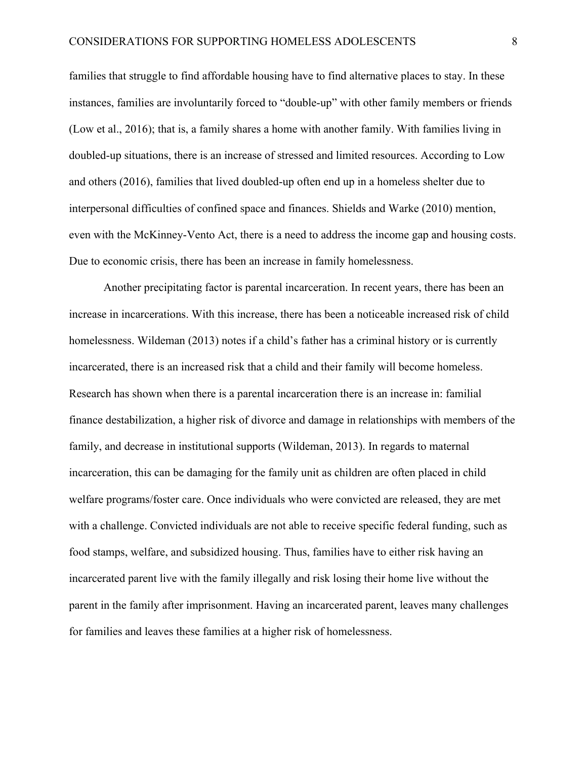families that struggle to find affordable housing have to find alternative places to stay. In these instances, families are involuntarily forced to "double-up" with other family members or friends (Low et al., 2016); that is, a family shares a home with another family. With families living in doubled-up situations, there is an increase of stressed and limited resources. According to Low and others (2016), families that lived doubled-up often end up in a homeless shelter due to interpersonal difficulties of confined space and finances. Shields and Warke (2010) mention, even with the McKinney-Vento Act, there is a need to address the income gap and housing costs. Due to economic crisis, there has been an increase in family homelessness.

Another precipitating factor is parental incarceration. In recent years, there has been an increase in incarcerations. With this increase, there has been a noticeable increased risk of child homelessness. Wildeman (2013) notes if a child's father has a criminal history or is currently incarcerated, there is an increased risk that a child and their family will become homeless. Research has shown when there is a parental incarceration there is an increase in: familial finance destabilization, a higher risk of divorce and damage in relationships with members of the family, and decrease in institutional supports (Wildeman, 2013). In regards to maternal incarceration, this can be damaging for the family unit as children are often placed in child welfare programs/foster care. Once individuals who were convicted are released, they are met with a challenge. Convicted individuals are not able to receive specific federal funding, such as food stamps, welfare, and subsidized housing. Thus, families have to either risk having an incarcerated parent live with the family illegally and risk losing their home live without the parent in the family after imprisonment. Having an incarcerated parent, leaves many challenges for families and leaves these families at a higher risk of homelessness.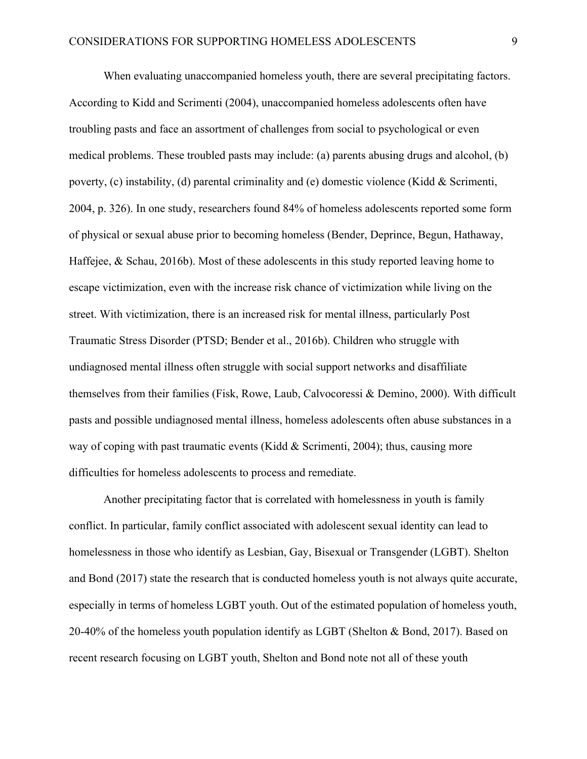When evaluating unaccompanied homeless youth, there are several precipitating factors. According to Kidd and Scrimenti (2004), unaccompanied homeless adolescents often have troubling pasts and face an assortment of challenges from social to psychological or even medical problems. These troubled pasts may include: (a) parents abusing drugs and alcohol, (b) poverty, (c) instability, (d) parental criminality and (e) domestic violence (Kidd & Scrimenti, 2004, p. 326). In one study, researchers found 84% of homeless adolescents reported some form of physical or sexual abuse prior to becoming homeless (Bender, Deprince, Begun, Hathaway, Haffejee, & Schau, 2016b). Most of these adolescents in this study reported leaving home to escape victimization, even with the increase risk chance of victimization while living on the street. With victimization, there is an increased risk for mental illness, particularly Post Traumatic Stress Disorder (PTSD; Bender et al., 2016b). Children who struggle with undiagnosed mental illness often struggle with social support networks and disaffiliate themselves from their families (Fisk, Rowe, Laub, Calvocoressi & Demino, 2000). With difficult pasts and possible undiagnosed mental illness, homeless adolescents often abuse substances in a way of coping with past traumatic events (Kidd & Scrimenti, 2004); thus, causing more difficulties for homeless adolescents to process and remediate.

Another precipitating factor that is correlated with homelessness in youth is family conflict. In particular, family conflict associated with adolescent sexual identity can lead to homelessness in those who identify as Lesbian, Gay, Bisexual or Transgender (LGBT). Shelton and Bond (2017) state the research that is conducted homeless youth is not always quite accurate, especially in terms of homeless LGBT youth. Out of the estimated population of homeless youth, 20-40% of the homeless youth population identify as LGBT (Shelton & Bond, 2017). Based on recent research focusing on LGBT youth, Shelton and Bond note not all of these youth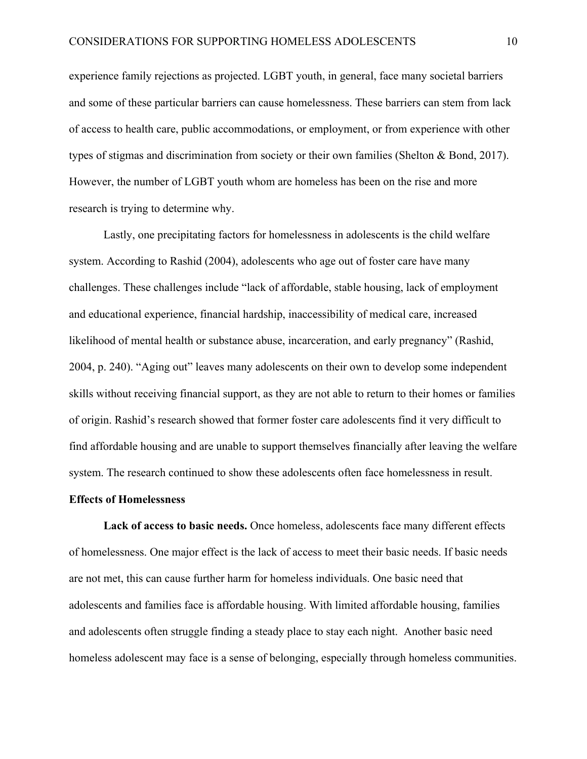experience family rejections as projected. LGBT youth, in general, face many societal barriers and some of these particular barriers can cause homelessness. These barriers can stem from lack of access to health care, public accommodations, or employment, or from experience with other types of stigmas and discrimination from society or their own families (Shelton & Bond, 2017). However, the number of LGBT youth whom are homeless has been on the rise and more research is trying to determine why.

Lastly, one precipitating factors for homelessness in adolescents is the child welfare system. According to Rashid (2004), adolescents who age out of foster care have many challenges. These challenges include "lack of affordable, stable housing, lack of employment and educational experience, financial hardship, inaccessibility of medical care, increased likelihood of mental health or substance abuse, incarceration, and early pregnancy" (Rashid, 2004, p. 240). "Aging out" leaves many adolescents on their own to develop some independent skills without receiving financial support, as they are not able to return to their homes or families of origin. Rashid's research showed that former foster care adolescents find it very difficult to find affordable housing and are unable to support themselves financially after leaving the welfare system. The research continued to show these adolescents often face homelessness in result.

#### **Effects of Homelessness**

**Lack of access to basic needs.** Once homeless, adolescents face many different effects of homelessness. One major effect is the lack of access to meet their basic needs. If basic needs are not met, this can cause further harm for homeless individuals. One basic need that adolescents and families face is affordable housing. With limited affordable housing, families and adolescents often struggle finding a steady place to stay each night. Another basic need homeless adolescent may face is a sense of belonging, especially through homeless communities.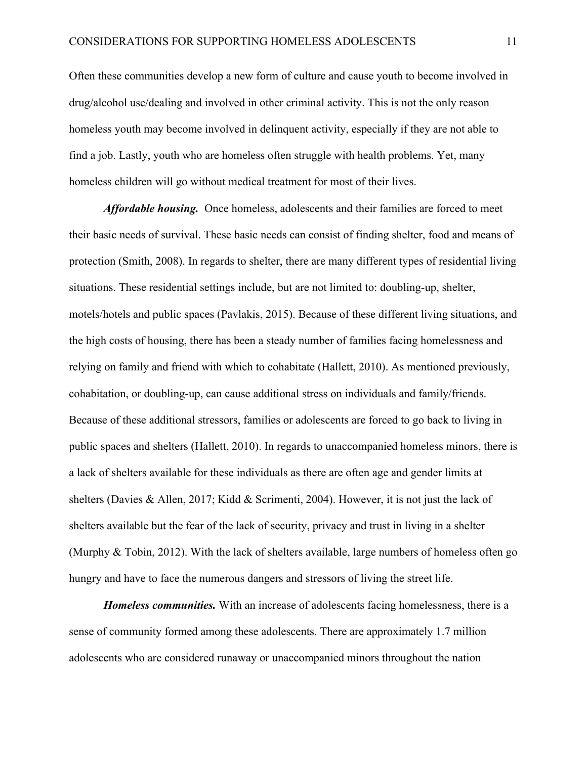Often these communities develop a new form of culture and cause youth to become involved in drug/alcohol use/dealing and involved in other criminal activity. This is not the only reason homeless youth may become involved in delinquent activity, especially if they are not able to find a job. Lastly, youth who are homeless often struggle with health problems. Yet, many homeless children will go without medical treatment for most of their lives.

*Affordable housing.* Once homeless, adolescents and their families are forced to meet their basic needs of survival. These basic needs can consist of finding shelter, food and means of protection (Smith, 2008). In regards to shelter, there are many different types of residential living situations. These residential settings include, but are not limited to: doubling-up, shelter, motels/hotels and public spaces (Pavlakis, 2015). Because of these different living situations, and the high costs of housing, there has been a steady number of families facing homelessness and relying on family and friend with which to cohabitate (Hallett, 2010). As mentioned previously, cohabitation, or doubling-up, can cause additional stress on individuals and family/friends. Because of these additional stressors, families or adolescents are forced to go back to living in public spaces and shelters (Hallett, 2010). In regards to unaccompanied homeless minors, there is a lack of shelters available for these individuals as there are often age and gender limits at shelters (Davies & Allen, 2017; Kidd & Scrimenti, 2004). However, it is not just the lack of shelters available but the fear of the lack of security, privacy and trust in living in a shelter (Murphy & Tobin, 2012). With the lack of shelters available, large numbers of homeless often go hungry and have to face the numerous dangers and stressors of living the street life.

*Homeless communities.* With an increase of adolescents facing homelessness, there is a sense of community formed among these adolescents. There are approximately 1.7 million adolescents who are considered runaway or unaccompanied minors throughout the nation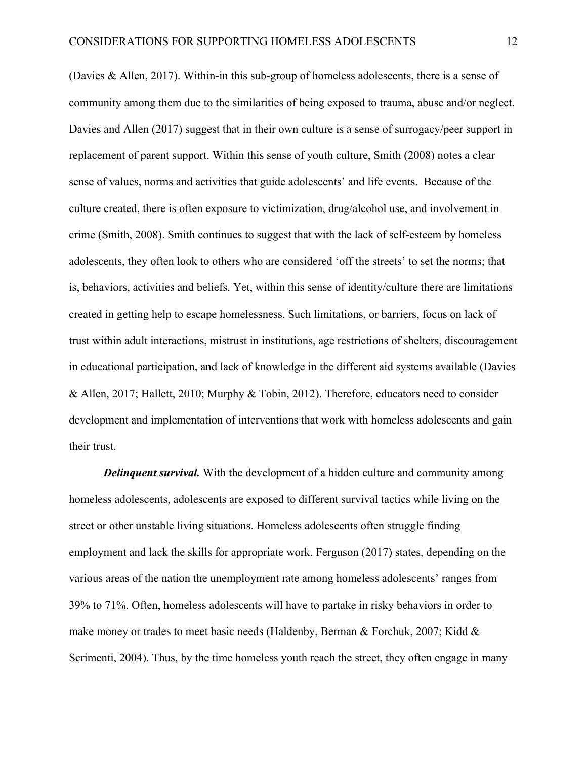(Davies & Allen, 2017). Within-in this sub-group of homeless adolescents, there is a sense of community among them due to the similarities of being exposed to trauma, abuse and/or neglect. Davies and Allen (2017) suggest that in their own culture is a sense of surrogacy/peer support in replacement of parent support. Within this sense of youth culture, Smith (2008) notes a clear sense of values, norms and activities that guide adolescents' and life events. Because of the culture created, there is often exposure to victimization, drug/alcohol use, and involvement in crime (Smith, 2008). Smith continues to suggest that with the lack of self-esteem by homeless adolescents, they often look to others who are considered 'off the streets' to set the norms; that is, behaviors, activities and beliefs. Yet, within this sense of identity/culture there are limitations created in getting help to escape homelessness. Such limitations, or barriers, focus on lack of trust within adult interactions, mistrust in institutions, age restrictions of shelters, discouragement in educational participation, and lack of knowledge in the different aid systems available (Davies & Allen, 2017; Hallett, 2010; Murphy & Tobin, 2012). Therefore, educators need to consider development and implementation of interventions that work with homeless adolescents and gain their trust.

*Delinquent survival.* With the development of a hidden culture and community among homeless adolescents, adolescents are exposed to different survival tactics while living on the street or other unstable living situations. Homeless adolescents often struggle finding employment and lack the skills for appropriate work. Ferguson (2017) states, depending on the various areas of the nation the unemployment rate among homeless adolescents' ranges from 39% to 71%. Often, homeless adolescents will have to partake in risky behaviors in order to make money or trades to meet basic needs (Haldenby, Berman & Forchuk, 2007; Kidd & Scrimenti, 2004). Thus, by the time homeless youth reach the street, they often engage in many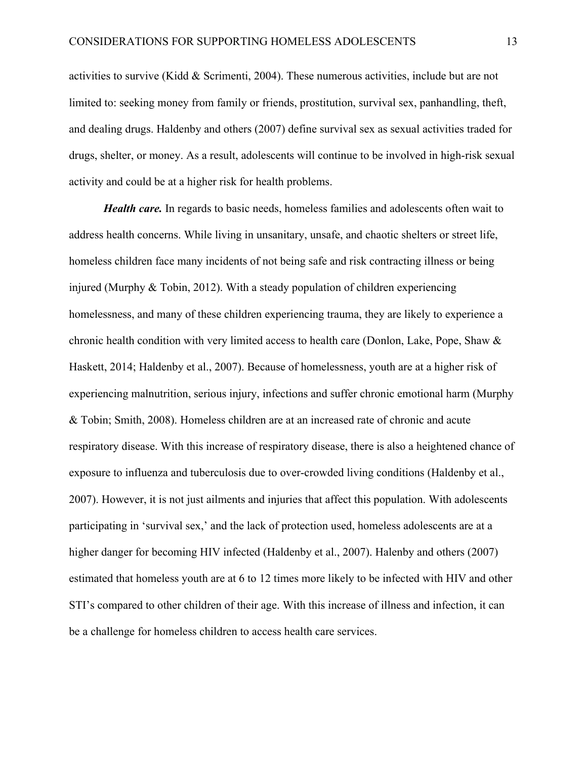activities to survive (Kidd & Scrimenti, 2004). These numerous activities, include but are not limited to: seeking money from family or friends, prostitution, survival sex, panhandling, theft, and dealing drugs. Haldenby and others (2007) define survival sex as sexual activities traded for drugs, shelter, or money. As a result, adolescents will continue to be involved in high-risk sexual activity and could be at a higher risk for health problems.

*Health care.* In regards to basic needs, homeless families and adolescents often wait to address health concerns. While living in unsanitary, unsafe, and chaotic shelters or street life, homeless children face many incidents of not being safe and risk contracting illness or being injured (Murphy & Tobin, 2012). With a steady population of children experiencing homelessness, and many of these children experiencing trauma, they are likely to experience a chronic health condition with very limited access to health care (Donlon, Lake, Pope, Shaw & Haskett, 2014; Haldenby et al., 2007). Because of homelessness, youth are at a higher risk of experiencing malnutrition, serious injury, infections and suffer chronic emotional harm (Murphy & Tobin; Smith, 2008). Homeless children are at an increased rate of chronic and acute respiratory disease. With this increase of respiratory disease, there is also a heightened chance of exposure to influenza and tuberculosis due to over-crowded living conditions (Haldenby et al., 2007). However, it is not just ailments and injuries that affect this population. With adolescents participating in 'survival sex,' and the lack of protection used, homeless adolescents are at a higher danger for becoming HIV infected (Haldenby et al., 2007). Halenby and others (2007) estimated that homeless youth are at 6 to 12 times more likely to be infected with HIV and other STI's compared to other children of their age. With this increase of illness and infection, it can be a challenge for homeless children to access health care services.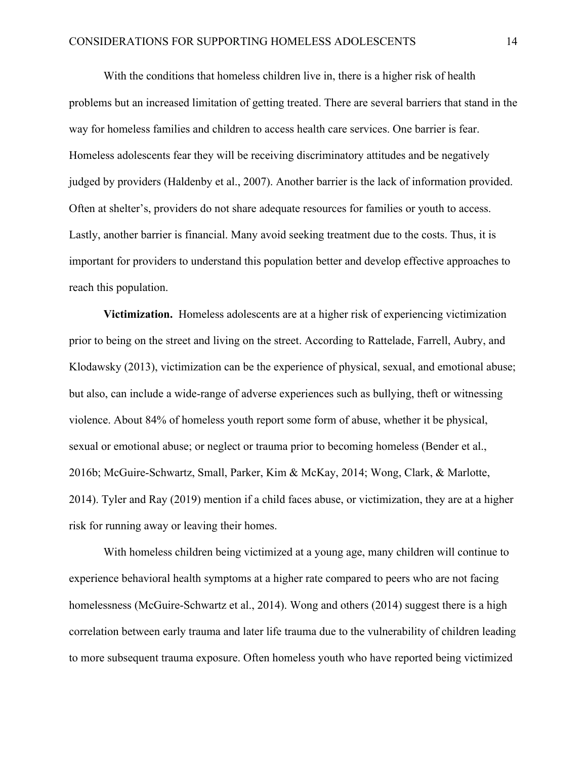With the conditions that homeless children live in, there is a higher risk of health problems but an increased limitation of getting treated. There are several barriers that stand in the way for homeless families and children to access health care services. One barrier is fear. Homeless adolescents fear they will be receiving discriminatory attitudes and be negatively judged by providers (Haldenby et al., 2007). Another barrier is the lack of information provided. Often at shelter's, providers do not share adequate resources for families or youth to access. Lastly, another barrier is financial. Many avoid seeking treatment due to the costs. Thus, it is important for providers to understand this population better and develop effective approaches to reach this population.

**Victimization.** Homeless adolescents are at a higher risk of experiencing victimization prior to being on the street and living on the street. According to Rattelade, Farrell, Aubry, and Klodawsky (2013), victimization can be the experience of physical, sexual, and emotional abuse; but also, can include a wide-range of adverse experiences such as bullying, theft or witnessing violence. About 84% of homeless youth report some form of abuse, whether it be physical, sexual or emotional abuse; or neglect or trauma prior to becoming homeless (Bender et al., 2016b; McGuire-Schwartz, Small, Parker, Kim & McKay, 2014; Wong, Clark, & Marlotte, 2014). Tyler and Ray (2019) mention if a child faces abuse, or victimization, they are at a higher risk for running away or leaving their homes.

With homeless children being victimized at a young age, many children will continue to experience behavioral health symptoms at a higher rate compared to peers who are not facing homelessness (McGuire-Schwartz et al., 2014). Wong and others (2014) suggest there is a high correlation between early trauma and later life trauma due to the vulnerability of children leading to more subsequent trauma exposure. Often homeless youth who have reported being victimized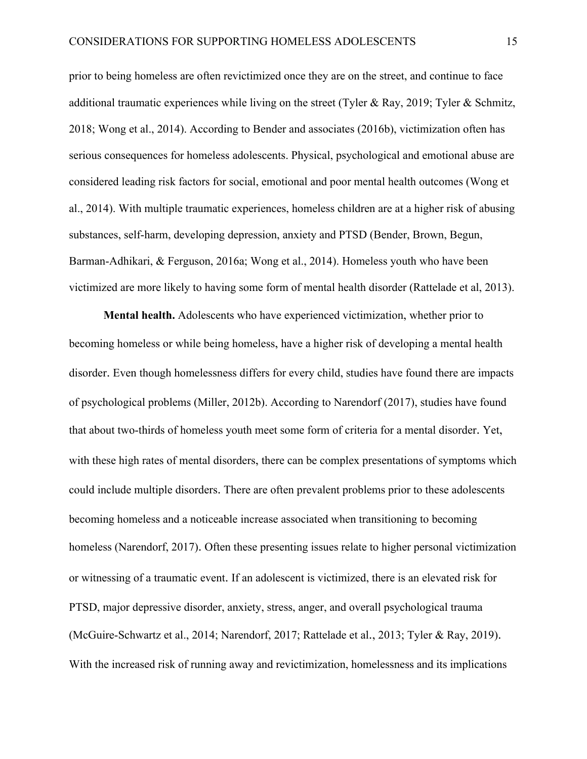prior to being homeless are often revictimized once they are on the street, and continue to face additional traumatic experiences while living on the street (Tyler & Ray, 2019; Tyler & Schmitz, 2018; Wong et al., 2014). According to Bender and associates (2016b), victimization often has serious consequences for homeless adolescents. Physical, psychological and emotional abuse are considered leading risk factors for social, emotional and poor mental health outcomes (Wong et al., 2014). With multiple traumatic experiences, homeless children are at a higher risk of abusing substances, self-harm, developing depression, anxiety and PTSD (Bender, Brown, Begun, Barman-Adhikari, & Ferguson, 2016a; Wong et al., 2014). Homeless youth who have been victimized are more likely to having some form of mental health disorder (Rattelade et al, 2013).

**Mental health.** Adolescents who have experienced victimization, whether prior to becoming homeless or while being homeless, have a higher risk of developing a mental health disorder. Even though homelessness differs for every child, studies have found there are impacts of psychological problems (Miller, 2012b). According to Narendorf (2017), studies have found that about two-thirds of homeless youth meet some form of criteria for a mental disorder. Yet, with these high rates of mental disorders, there can be complex presentations of symptoms which could include multiple disorders. There are often prevalent problems prior to these adolescents becoming homeless and a noticeable increase associated when transitioning to becoming homeless (Narendorf, 2017). Often these presenting issues relate to higher personal victimization or witnessing of a traumatic event. If an adolescent is victimized, there is an elevated risk for PTSD, major depressive disorder, anxiety, stress, anger, and overall psychological trauma (McGuire-Schwartz et al., 2014; Narendorf, 2017; Rattelade et al., 2013; Tyler & Ray, 2019). With the increased risk of running away and revictimization, homelessness and its implications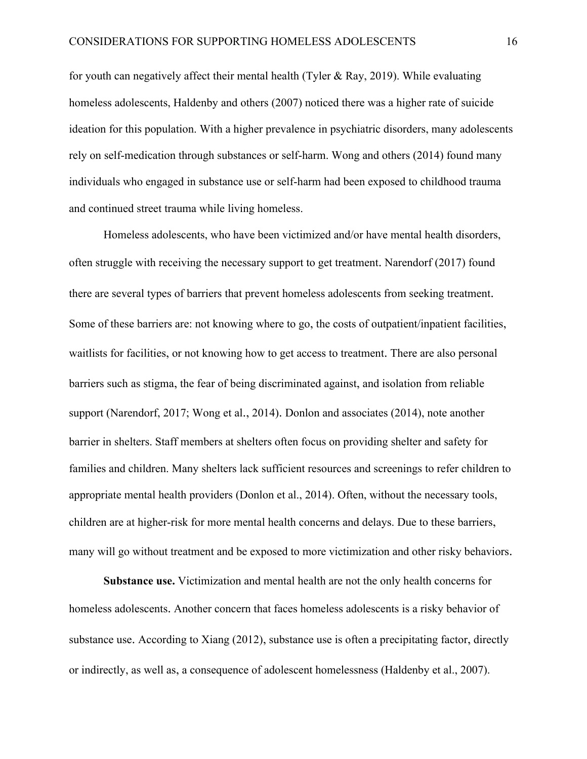for youth can negatively affect their mental health (Tyler & Ray, 2019). While evaluating homeless adolescents, Haldenby and others (2007) noticed there was a higher rate of suicide ideation for this population. With a higher prevalence in psychiatric disorders, many adolescents rely on self-medication through substances or self-harm. Wong and others (2014) found many individuals who engaged in substance use or self-harm had been exposed to childhood trauma and continued street trauma while living homeless.

Homeless adolescents, who have been victimized and/or have mental health disorders, often struggle with receiving the necessary support to get treatment. Narendorf (2017) found there are several types of barriers that prevent homeless adolescents from seeking treatment. Some of these barriers are: not knowing where to go, the costs of outpatient/inpatient facilities, waitlists for facilities, or not knowing how to get access to treatment. There are also personal barriers such as stigma, the fear of being discriminated against, and isolation from reliable support (Narendorf, 2017; Wong et al., 2014). Donlon and associates (2014), note another barrier in shelters. Staff members at shelters often focus on providing shelter and safety for families and children. Many shelters lack sufficient resources and screenings to refer children to appropriate mental health providers (Donlon et al., 2014). Often, without the necessary tools, children are at higher-risk for more mental health concerns and delays. Due to these barriers, many will go without treatment and be exposed to more victimization and other risky behaviors.

**Substance use.** Victimization and mental health are not the only health concerns for homeless adolescents. Another concern that faces homeless adolescents is a risky behavior of substance use. According to Xiang (2012), substance use is often a precipitating factor, directly or indirectly, as well as, a consequence of adolescent homelessness (Haldenby et al., 2007).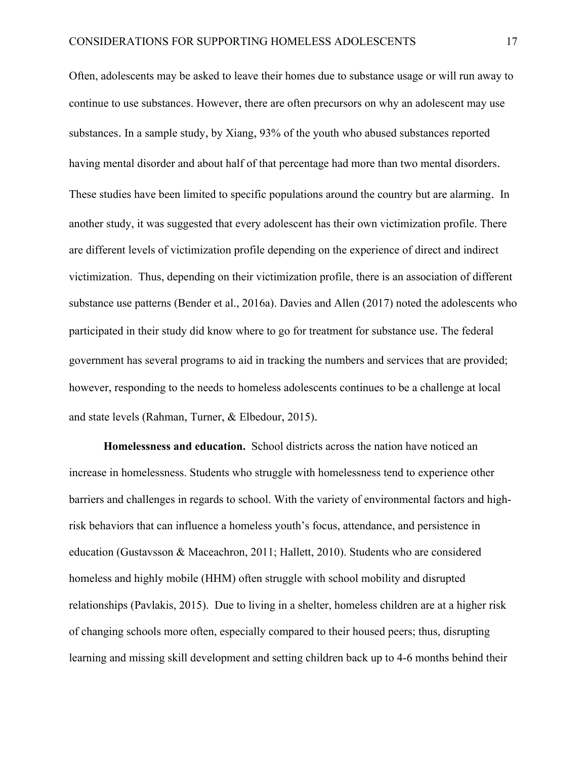Often, adolescents may be asked to leave their homes due to substance usage or will run away to continue to use substances. However, there are often precursors on why an adolescent may use substances. In a sample study, by Xiang, 93% of the youth who abused substances reported having mental disorder and about half of that percentage had more than two mental disorders. These studies have been limited to specific populations around the country but are alarming. In another study, it was suggested that every adolescent has their own victimization profile. There are different levels of victimization profile depending on the experience of direct and indirect victimization. Thus, depending on their victimization profile, there is an association of different substance use patterns (Bender et al., 2016a). Davies and Allen (2017) noted the adolescents who participated in their study did know where to go for treatment for substance use. The federal government has several programs to aid in tracking the numbers and services that are provided; however, responding to the needs to homeless adolescents continues to be a challenge at local and state levels (Rahman, Turner, & Elbedour, 2015).

**Homelessness and education.** School districts across the nation have noticed an increase in homelessness. Students who struggle with homelessness tend to experience other barriers and challenges in regards to school. With the variety of environmental factors and highrisk behaviors that can influence a homeless youth's focus, attendance, and persistence in education (Gustavsson & Maceachron, 2011; Hallett, 2010). Students who are considered homeless and highly mobile (HHM) often struggle with school mobility and disrupted relationships (Pavlakis, 2015). Due to living in a shelter, homeless children are at a higher risk of changing schools more often, especially compared to their housed peers; thus, disrupting learning and missing skill development and setting children back up to 4-6 months behind their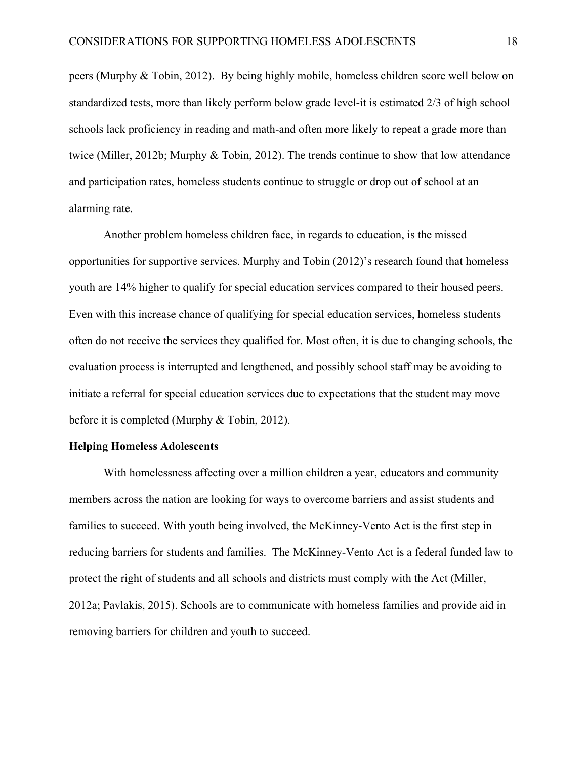peers (Murphy & Tobin, 2012). By being highly mobile, homeless children score well below on standardized tests, more than likely perform below grade level-it is estimated 2/3 of high school schools lack proficiency in reading and math-and often more likely to repeat a grade more than twice (Miller, 2012b; Murphy & Tobin, 2012). The trends continue to show that low attendance and participation rates, homeless students continue to struggle or drop out of school at an alarming rate.

Another problem homeless children face, in regards to education, is the missed opportunities for supportive services. Murphy and Tobin (2012)'s research found that homeless youth are 14% higher to qualify for special education services compared to their housed peers. Even with this increase chance of qualifying for special education services, homeless students often do not receive the services they qualified for. Most often, it is due to changing schools, the evaluation process is interrupted and lengthened, and possibly school staff may be avoiding to initiate a referral for special education services due to expectations that the student may move before it is completed (Murphy & Tobin, 2012).

#### **Helping Homeless Adolescents**

With homelessness affecting over a million children a year, educators and community members across the nation are looking for ways to overcome barriers and assist students and families to succeed. With youth being involved, the McKinney-Vento Act is the first step in reducing barriers for students and families. The McKinney-Vento Act is a federal funded law to protect the right of students and all schools and districts must comply with the Act (Miller, 2012a; Pavlakis, 2015). Schools are to communicate with homeless families and provide aid in removing barriers for children and youth to succeed.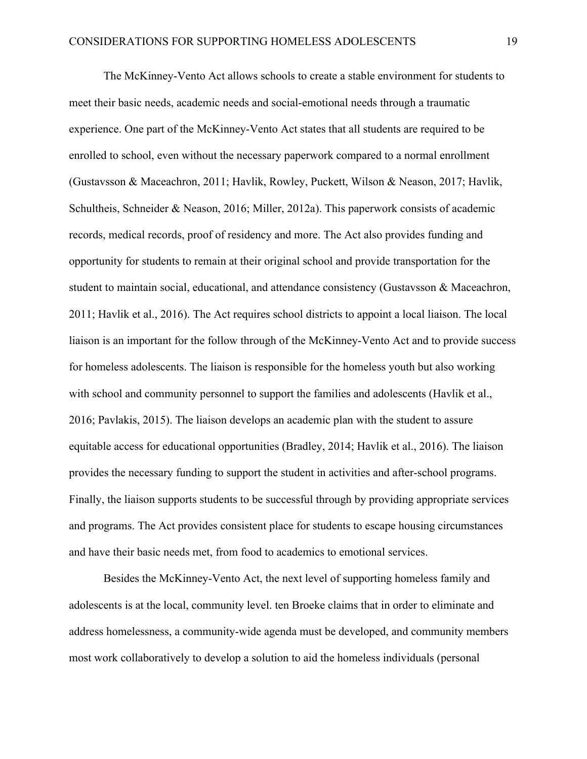The McKinney-Vento Act allows schools to create a stable environment for students to meet their basic needs, academic needs and social-emotional needs through a traumatic experience. One part of the McKinney-Vento Act states that all students are required to be enrolled to school, even without the necessary paperwork compared to a normal enrollment (Gustavsson & Maceachron, 2011; Havlik, Rowley, Puckett, Wilson & Neason, 2017; Havlik, Schultheis, Schneider & Neason, 2016; Miller, 2012a). This paperwork consists of academic records, medical records, proof of residency and more. The Act also provides funding and opportunity for students to remain at their original school and provide transportation for the student to maintain social, educational, and attendance consistency (Gustavsson & Maceachron, 2011; Havlik et al., 2016). The Act requires school districts to appoint a local liaison. The local liaison is an important for the follow through of the McKinney-Vento Act and to provide success for homeless adolescents. The liaison is responsible for the homeless youth but also working with school and community personnel to support the families and adolescents (Havlik et al., 2016; Pavlakis, 2015). The liaison develops an academic plan with the student to assure equitable access for educational opportunities (Bradley, 2014; Havlik et al., 2016). The liaison provides the necessary funding to support the student in activities and after-school programs. Finally, the liaison supports students to be successful through by providing appropriate services and programs. The Act provides consistent place for students to escape housing circumstances and have their basic needs met, from food to academics to emotional services.

Besides the McKinney-Vento Act, the next level of supporting homeless family and adolescents is at the local, community level. ten Broeke claims that in order to eliminate and address homelessness, a community-wide agenda must be developed, and community members most work collaboratively to develop a solution to aid the homeless individuals (personal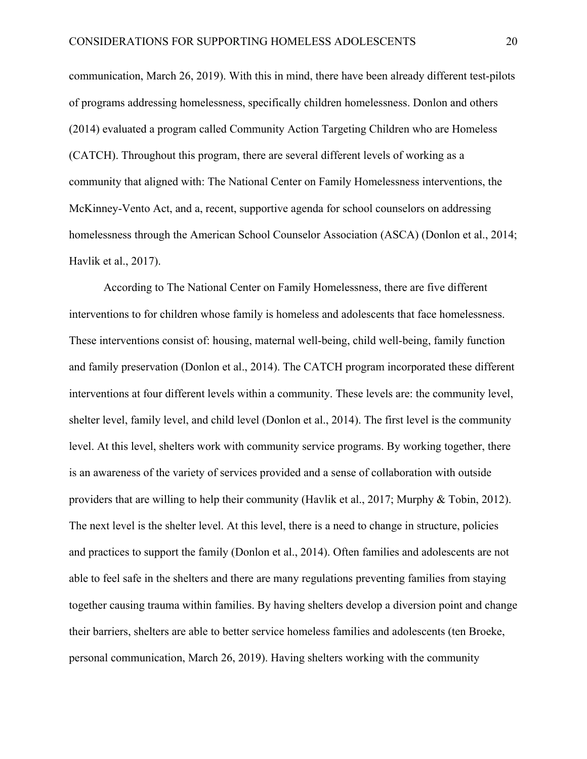communication, March 26, 2019). With this in mind, there have been already different test-pilots of programs addressing homelessness, specifically children homelessness. Donlon and others (2014) evaluated a program called Community Action Targeting Children who are Homeless (CATCH). Throughout this program, there are several different levels of working as a community that aligned with: The National Center on Family Homelessness interventions, the McKinney-Vento Act, and a, recent, supportive agenda for school counselors on addressing homelessness through the American School Counselor Association (ASCA) (Donlon et al., 2014; Havlik et al., 2017).

According to The National Center on Family Homelessness, there are five different interventions to for children whose family is homeless and adolescents that face homelessness. These interventions consist of: housing, maternal well-being, child well-being, family function and family preservation (Donlon et al., 2014). The CATCH program incorporated these different interventions at four different levels within a community. These levels are: the community level, shelter level, family level, and child level (Donlon et al., 2014). The first level is the community level. At this level, shelters work with community service programs. By working together, there is an awareness of the variety of services provided and a sense of collaboration with outside providers that are willing to help their community (Havlik et al., 2017; Murphy & Tobin, 2012). The next level is the shelter level. At this level, there is a need to change in structure, policies and practices to support the family (Donlon et al., 2014). Often families and adolescents are not able to feel safe in the shelters and there are many regulations preventing families from staying together causing trauma within families. By having shelters develop a diversion point and change their barriers, shelters are able to better service homeless families and adolescents (ten Broeke, personal communication, March 26, 2019). Having shelters working with the community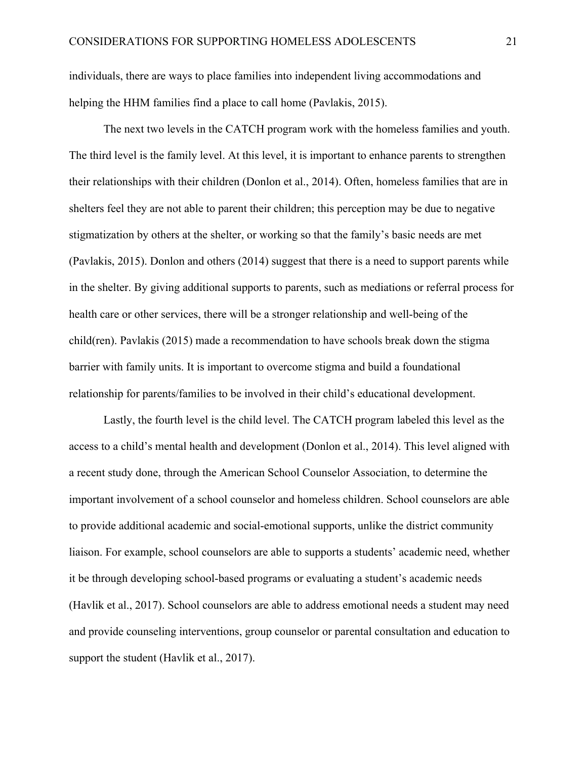individuals, there are ways to place families into independent living accommodations and helping the HHM families find a place to call home (Pavlakis, 2015).

The next two levels in the CATCH program work with the homeless families and youth. The third level is the family level. At this level, it is important to enhance parents to strengthen their relationships with their children (Donlon et al., 2014). Often, homeless families that are in shelters feel they are not able to parent their children; this perception may be due to negative stigmatization by others at the shelter, or working so that the family's basic needs are met (Pavlakis, 2015). Donlon and others (2014) suggest that there is a need to support parents while in the shelter. By giving additional supports to parents, such as mediations or referral process for health care or other services, there will be a stronger relationship and well-being of the child(ren). Pavlakis (2015) made a recommendation to have schools break down the stigma barrier with family units. It is important to overcome stigma and build a foundational relationship for parents/families to be involved in their child's educational development.

Lastly, the fourth level is the child level. The CATCH program labeled this level as the access to a child's mental health and development (Donlon et al., 2014). This level aligned with a recent study done, through the American School Counselor Association, to determine the important involvement of a school counselor and homeless children. School counselors are able to provide additional academic and social-emotional supports, unlike the district community liaison. For example, school counselors are able to supports a students' academic need, whether it be through developing school-based programs or evaluating a student's academic needs (Havlik et al., 2017). School counselors are able to address emotional needs a student may need and provide counseling interventions, group counselor or parental consultation and education to support the student (Havlik et al., 2017).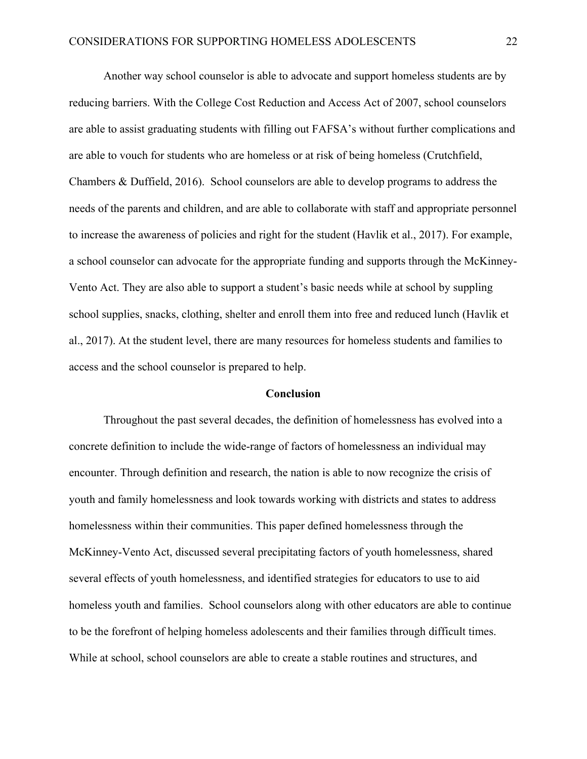Another way school counselor is able to advocate and support homeless students are by reducing barriers. With the College Cost Reduction and Access Act of 2007, school counselors are able to assist graduating students with filling out FAFSA's without further complications and are able to vouch for students who are homeless or at risk of being homeless (Crutchfield, Chambers & Duffield, 2016). School counselors are able to develop programs to address the needs of the parents and children, and are able to collaborate with staff and appropriate personnel to increase the awareness of policies and right for the student (Havlik et al., 2017). For example, a school counselor can advocate for the appropriate funding and supports through the McKinney-Vento Act. They are also able to support a student's basic needs while at school by suppling school supplies, snacks, clothing, shelter and enroll them into free and reduced lunch (Havlik et al., 2017). At the student level, there are many resources for homeless students and families to access and the school counselor is prepared to help.

#### **Conclusion**

Throughout the past several decades, the definition of homelessness has evolved into a concrete definition to include the wide-range of factors of homelessness an individual may encounter. Through definition and research, the nation is able to now recognize the crisis of youth and family homelessness and look towards working with districts and states to address homelessness within their communities. This paper defined homelessness through the McKinney-Vento Act, discussed several precipitating factors of youth homelessness, shared several effects of youth homelessness, and identified strategies for educators to use to aid homeless youth and families. School counselors along with other educators are able to continue to be the forefront of helping homeless adolescents and their families through difficult times. While at school, school counselors are able to create a stable routines and structures, and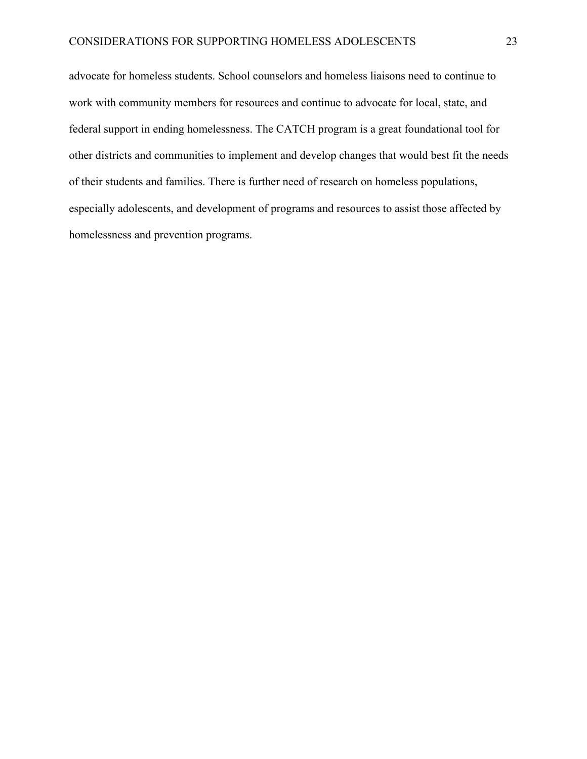advocate for homeless students. School counselors and homeless liaisons need to continue to work with community members for resources and continue to advocate for local, state, and federal support in ending homelessness. The CATCH program is a great foundational tool for other districts and communities to implement and develop changes that would best fit the needs of their students and families. There is further need of research on homeless populations, especially adolescents, and development of programs and resources to assist those affected by homelessness and prevention programs.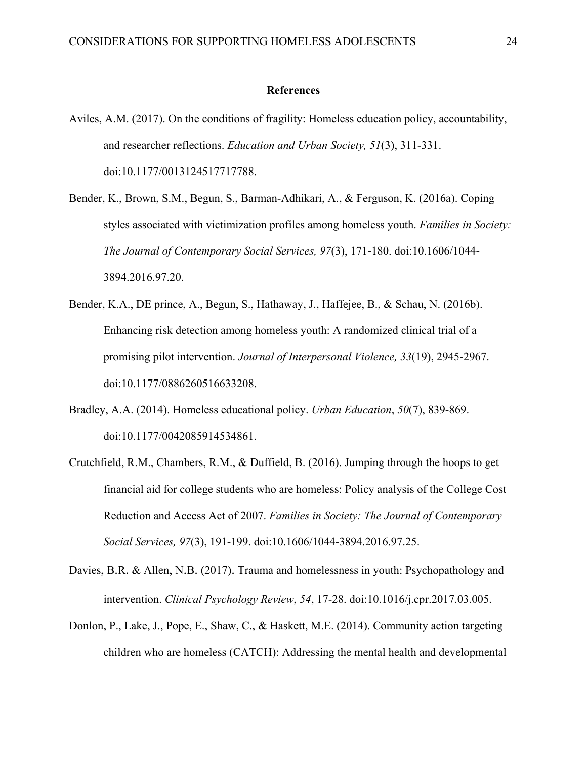#### **References**

- Aviles, A.M. (2017). On the conditions of fragility: Homeless education policy, accountability, and researcher reflections. *Education and Urban Society, 51*(3), 311-331. doi:10.1177/0013124517717788.
- Bender, K., Brown, S.M., Begun, S., Barman-Adhikari, A., & Ferguson, K. (2016a). Coping styles associated with victimization profiles among homeless youth. *Families in Society: The Journal of Contemporary Social Services, 97*(3), 171-180. doi:10.1606/1044- 3894.2016.97.20.
- Bender, K.A., DE prince, A., Begun, S., Hathaway, J., Haffejee, B., & Schau, N. (2016b). Enhancing risk detection among homeless youth: A randomized clinical trial of a promising pilot intervention. *Journal of Interpersonal Violence, 33*(19), 2945-2967. doi:10.1177/0886260516633208.
- Bradley, A.A. (2014). Homeless educational policy. *Urban Education*, *50*(7), 839-869. doi:10.1177/0042085914534861.
- Crutchfield, R.M., Chambers, R.M., & Duffield, B. (2016). Jumping through the hoops to get financial aid for college students who are homeless: Policy analysis of the College Cost Reduction and Access Act of 2007. *Families in Society: The Journal of Contemporary Social Services, 97*(3), 191-199. doi:10.1606/1044-3894.2016.97.25.
- Davies, B.R. & Allen, N.B. (2017). Trauma and homelessness in youth: Psychopathology and intervention. *Clinical Psychology Review*, *54*, 17-28. doi:10.1016/j.cpr.2017.03.005.
- Donlon, P., Lake, J., Pope, E., Shaw, C., & Haskett, M.E. (2014). Community action targeting children who are homeless (CATCH): Addressing the mental health and developmental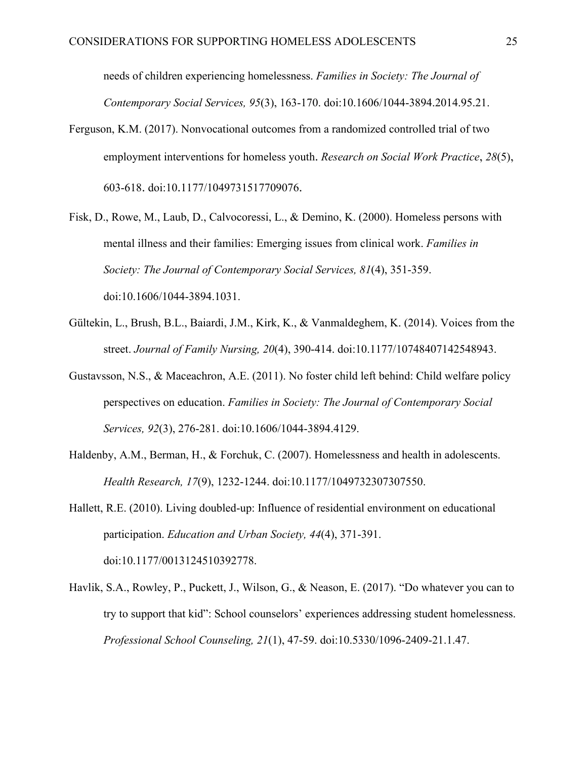needs of children experiencing homelessness. *Families in Society: The Journal of Contemporary Social Services, 95*(3), 163-170. doi:10.1606/1044-3894.2014.95.21.

- Ferguson, K.M. (2017). Nonvocational outcomes from a randomized controlled trial of two employment interventions for homeless youth. *Research on Social Work Practice*, *28*(5), 603-618. doi:10.1177/1049731517709076.
- Fisk, D., Rowe, M., Laub, D., Calvocoressi, L., & Demino, K. (2000). Homeless persons with mental illness and their families: Emerging issues from clinical work. *Families in Society: The Journal of Contemporary Social Services, 81*(4), 351-359. doi:10.1606/1044-3894.1031.
- Gültekin, L., Brush, B.L., Baiardi, J.M., Kirk, K., & Vanmaldeghem, K. (2014). Voices from the street. *Journal of Family Nursing, 20*(4), 390-414. doi:10.1177/10748407142548943.
- Gustavsson, N.S., & Maceachron, A.E. (2011). No foster child left behind: Child welfare policy perspectives on education. *Families in Society: The Journal of Contemporary Social Services, 92*(3), 276-281. doi:10.1606/1044-3894.4129.
- Haldenby, A.M., Berman, H., & Forchuk, C. (2007). Homelessness and health in adolescents. *Health Research, 17*(9), 1232-1244. doi:10.1177/1049732307307550.
- Hallett, R.E. (2010). Living doubled-up: Influence of residential environment on educational participation. *Education and Urban Society, 44*(4), 371-391. doi:10.1177/0013124510392778.
- Havlik, S.A., Rowley, P., Puckett, J., Wilson, G., & Neason, E. (2017). "Do whatever you can to try to support that kid": School counselors' experiences addressing student homelessness. *Professional School Counseling, 21*(1), 47-59. doi:10.5330/1096-2409-21.1.47.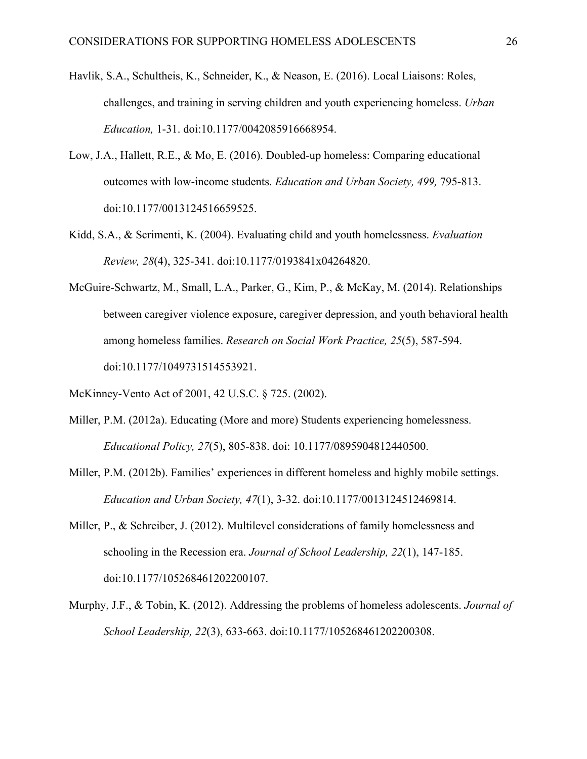- Havlik, S.A., Schultheis, K., Schneider, K., & Neason, E. (2016). Local Liaisons: Roles, challenges, and training in serving children and youth experiencing homeless. *Urban Education,* 1-31. doi:10.1177/0042085916668954.
- Low, J.A., Hallett, R.E., & Mo, E. (2016). Doubled-up homeless: Comparing educational outcomes with low-income students. *Education and Urban Society, 499,* 795-813. doi:10.1177/0013124516659525.
- Kidd, S.A., & Scrimenti, K. (2004). Evaluating child and youth homelessness. *Evaluation Review, 28*(4), 325-341. doi:10.1177/0193841x04264820.
- McGuire-Schwartz, M., Small, L.A., Parker, G., Kim, P., & McKay, M. (2014). Relationships between caregiver violence exposure, caregiver depression, and youth behavioral health among homeless families. *Research on Social Work Practice, 25*(5), 587-594. doi:10.1177/1049731514553921.
- McKinney-Vento Act of 2001, 42 U.S.C. § 725. (2002).
- Miller, P.M. (2012a). Educating (More and more) Students experiencing homelessness. *Educational Policy, 27*(5), 805-838. doi: 10.1177/0895904812440500.
- Miller, P.M. (2012b). Families' experiences in different homeless and highly mobile settings. *Education and Urban Society, 47*(1), 3-32. doi:10.1177/0013124512469814.
- Miller, P., & Schreiber, J. (2012). Multilevel considerations of family homelessness and schooling in the Recession era. *Journal of School Leadership, 22*(1), 147-185. doi:10.1177/105268461202200107.
- Murphy, J.F., & Tobin, K. (2012). Addressing the problems of homeless adolescents. *Journal of School Leadership, 22*(3), 633-663. doi:10.1177/105268461202200308.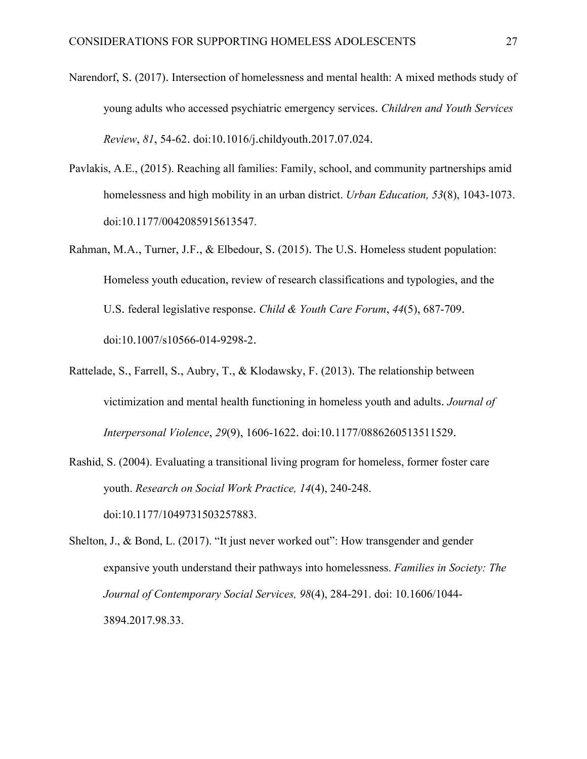- Narendorf, S. (2017). Intersection of homelessness and mental health: A mixed methods study of young adults who accessed psychiatric emergency services. *Children and Youth Services Review*, *81*, 54-62. doi:10.1016/j.childyouth.2017.07.024.
- Pavlakis, A.E., (2015). Reaching all families: Family, school, and community partnerships amid homelessness and high mobility in an urban district. *Urban Education, 53*(8), 1043-1073. doi:10.1177/0042085915613547.
- Rahman, M.A., Turner, J.F., & Elbedour, S. (2015). The U.S. Homeless student population: Homeless youth education, review of research classifications and typologies, and the U.S. federal legislative response. *Child & Youth Care Forum*, *44*(5), 687-709. doi:10.1007/s10566-014-9298-2.
- Rattelade, S., Farrell, S., Aubry, T., & Klodawsky, F. (2013). The relationship between victimization and mental health functioning in homeless youth and adults. *Journal of Interpersonal Violence*, *29*(9), 1606-1622. doi:10.1177/0886260513511529.
- Rashid, S. (2004). Evaluating a transitional living program for homeless, former foster care youth. *Research on Social Work Practice, 14*(4), 240-248. doi:10.1177/1049731503257883.
- Shelton, J., & Bond, L. (2017). "It just never worked out": How transgender and gender expansive youth understand their pathways into homelessness. *Families in Society: The Journal of Contemporary Social Services, 98*(4), 284-291. doi: 10.1606/1044- 3894.2017.98.33.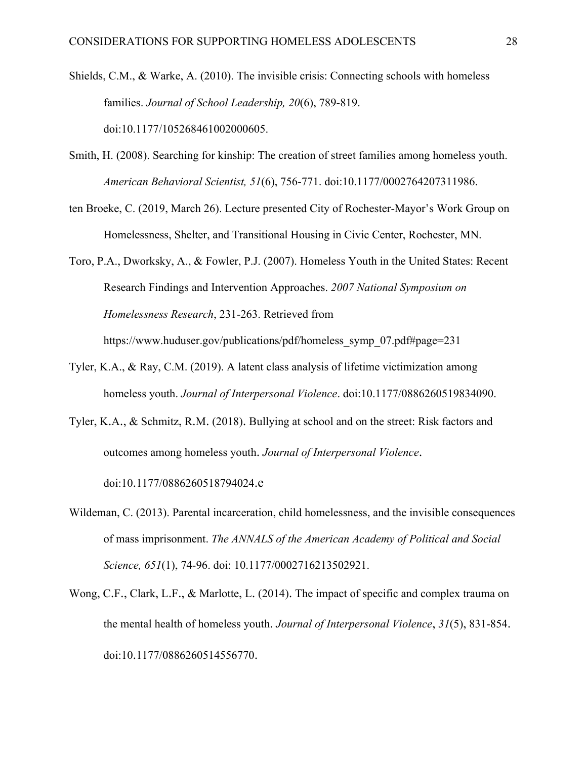- Shields, C.M., & Warke, A. (2010). The invisible crisis: Connecting schools with homeless families. *Journal of School Leadership, 20*(6), 789-819. doi:10.1177/105268461002000605.
- Smith, H. (2008). Searching for kinship: The creation of street families among homeless youth. *American Behavioral Scientist, 51*(6), 756-771. doi:10.1177/0002764207311986.
- ten Broeke, C. (2019, March 26). Lecture presented City of Rochester-Mayor's Work Group on Homelessness, Shelter, and Transitional Housing in Civic Center, Rochester, MN.
- Toro, P.A., Dworksky, A., & Fowler, P.J. (2007). Homeless Youth in the United States: Recent Research Findings and Intervention Approaches. *2007 National Symposium on Homelessness Research*, 231-263. Retrieved from

https://www.huduser.gov/publications/pdf/homeless\_symp\_07.pdf#page=231

- Tyler, K.A., & Ray, C.M. (2019). A latent class analysis of lifetime victimization among homeless youth. *Journal of Interpersonal Violence*. doi:10.1177/0886260519834090.
- Tyler, K.A., & Schmitz, R.M. (2018). Bullying at school and on the street: Risk factors and outcomes among homeless youth. *Journal of Interpersonal Violence*. doi:10.1177/0886260518794024.e
- Wildeman, C. (2013). Parental incarceration, child homelessness, and the invisible consequences of mass imprisonment. *The ANNALS of the American Academy of Political and Social Science, 651*(1), 74-96. doi: 10.1177/0002716213502921.
- Wong, C.F., Clark, L.F., & Marlotte, L. (2014). The impact of specific and complex trauma on the mental health of homeless youth. *Journal of Interpersonal Violence*, *31*(5), 831-854. doi:10.1177/0886260514556770.